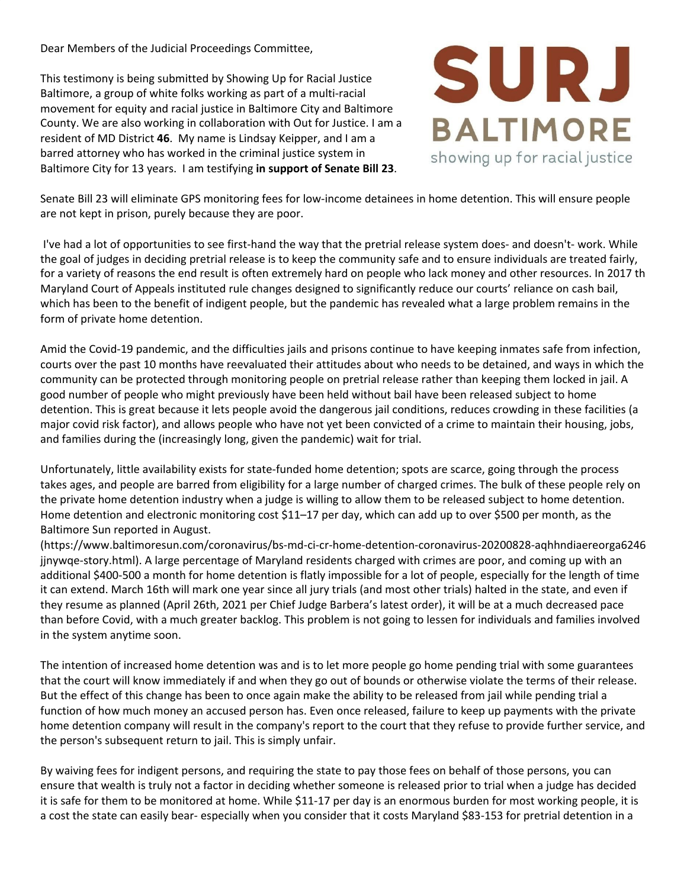Dear Members of the Judicial Proceedings Committee,

This testimony is being submitted by Showing Up for Racial Justice Baltimore, a group of white folks working as part of a multi-racial movement for equity and racial justice in Baltimore City and Baltimore County. We are also working in collaboration with Out for Justice. I am a resident of MD District **46**. My name is Lindsay Keipper, and I am a barred attorney who has worked in the criminal justice system in Baltimore City for 13 years. I am testifying **in support of Senate Bill 23**.



Senate Bill 23 will eliminate GPS monitoring fees for low-income detainees in home detention. This will ensure people are not kept in prison, purely because they are poor.

I've had a lot of opportunities to see first-hand the way that the pretrial release system does- and doesn't- work. While the goal of judges in deciding pretrial release is to keep the community safe and to ensure individuals are treated fairly, for a variety of reasons the end result is often extremely hard on people who lack money and other resources. In 2017 th Maryland Court of Appeals instituted rule changes designed to significantly reduce our courts' reliance on cash bail, which has been to the benefit of indigent people, but the pandemic has revealed what a large problem remains in the form of private home detention.

Amid the Covid-19 pandemic, and the difficulties jails and prisons continue to have keeping inmates safe from infection, courts over the past 10 months have reevaluated their attitudes about who needs to be detained, and ways in which the community can be protected through monitoring people on pretrial release rather than keeping them locked in jail. A good number of people who might previously have been held without bail have been released subject to home detention. This is great because it lets people avoid the dangerous jail conditions, reduces crowding in these facilities (a major covid risk factor), and allows people who have not yet been convicted of a crime to maintain their housing, jobs, and families during the (increasingly long, given the pandemic) wait for trial.

Unfortunately, little availability exists for state-funded home detention; spots are scarce, going through the process takes ages, and people are barred from eligibility for a large number of charged crimes. The bulk of these people rely on the private home detention industry when a judge is willing to allow them to be released subject to home detention. Home detention and electronic monitoring cost \$11–17 per day, which can add up to over \$500 per month, as the Baltimore Sun reported in August.

(https://www.baltimoresun.com/coronavirus/bs-md-ci-cr-home-detention-coronavirus-20200828-aqhhndiaereorga6246 jjnywqe-story.html). A large percentage of Maryland residents charged with crimes are poor, and coming up with an additional \$400-500 a month for home detention is flatly impossible for a lot of people, especially for the length of time it can extend. March 16th will mark one year since all jury trials (and most other trials) halted in the state, and even if they resume as planned (April 26th, 2021 per Chief Judge Barbera's latest order), it will be at a much decreased pace than before Covid, with a much greater backlog. This problem is not going to lessen for individuals and families involved in the system anytime soon.

The intention of increased home detention was and is to let more people go home pending trial with some guarantees that the court will know immediately if and when they go out of bounds or otherwise violate the terms of their release. But the effect of this change has been to once again make the ability to be released from jail while pending trial a function of how much money an accused person has. Even once released, failure to keep up payments with the private home detention company will result in the company's report to the court that they refuse to provide further service, and the person's subsequent return to jail. This is simply unfair.

By waiving fees for indigent persons, and requiring the state to pay those fees on behalf of those persons, you can ensure that wealth is truly not a factor in deciding whether someone is released prior to trial when a judge has decided it is safe for them to be monitored at home. While \$11-17 per day is an enormous burden for most working people, it is a cost the state can easily bear- especially when you consider that it costs Maryland \$83-153 for pretrial detention in a